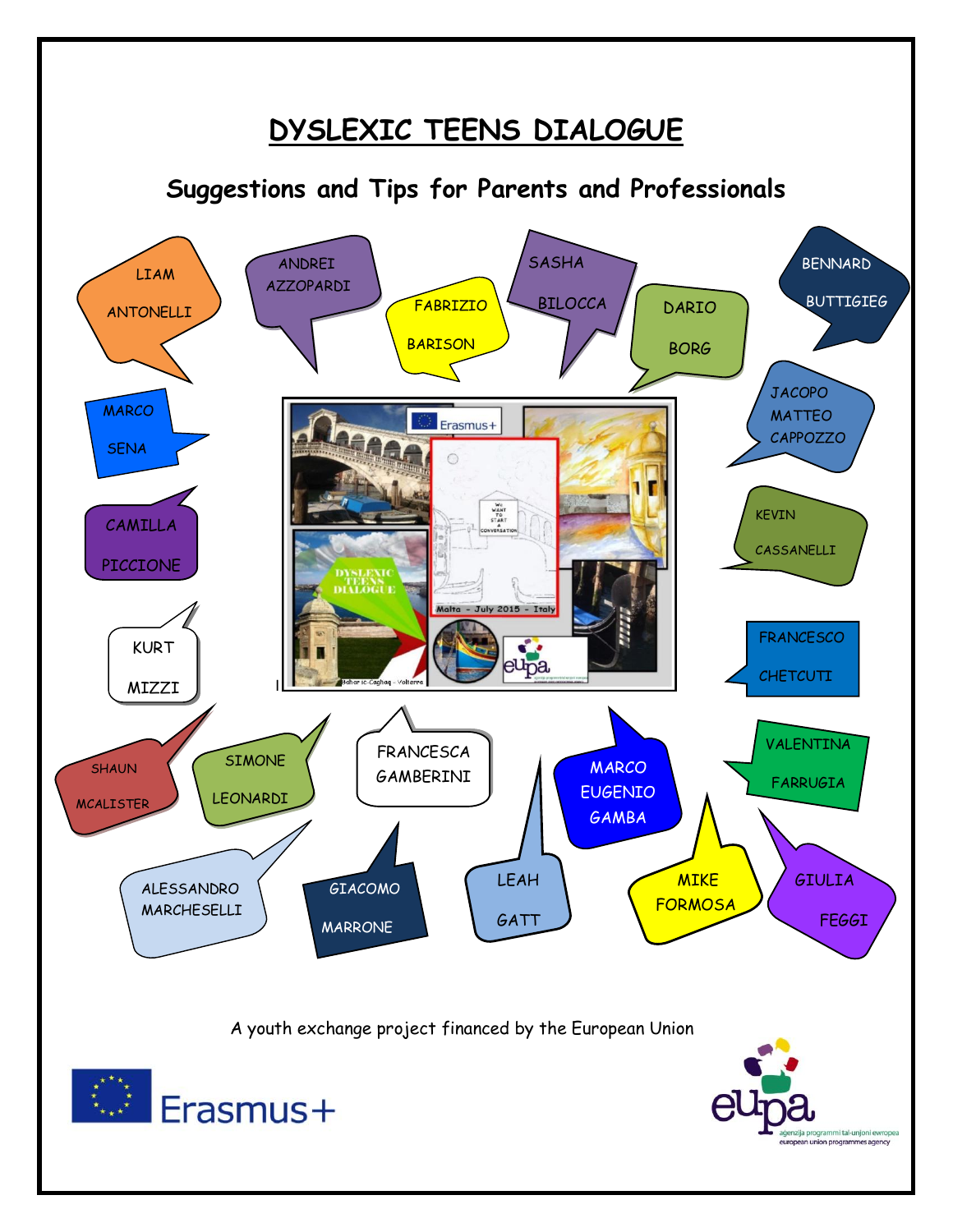